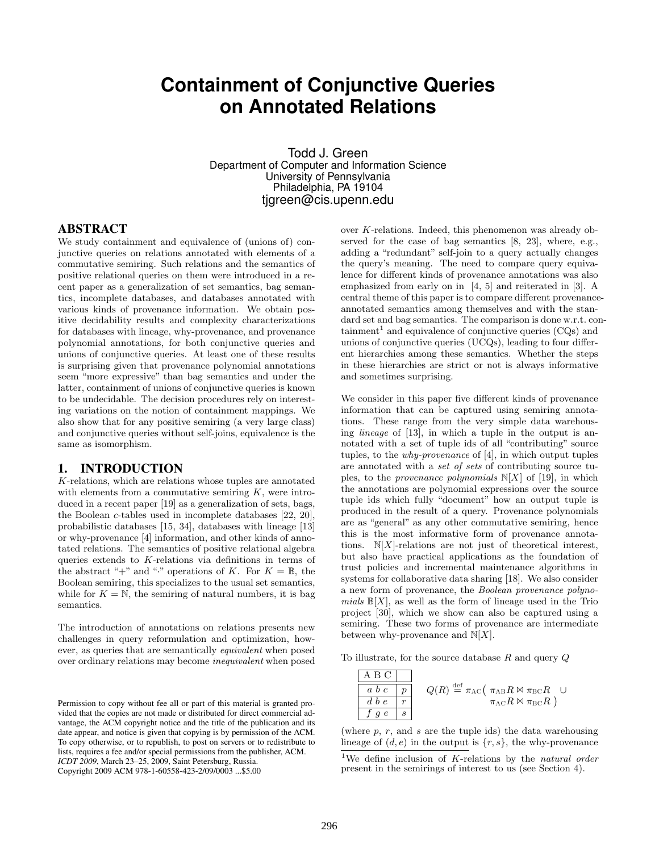# **Containment of Conjunctive Queries on Annotated Relations**

Todd J. Green Department of Computer and Information Science University of Pennsylvania Philadelphia, PA 19104 tjgreen@cis.upenn.edu

#### ABSTRACT

We study containment and equivalence of (unions of) conjunctive queries on relations annotated with elements of a commutative semiring. Such relations and the semantics of positive relational queries on them were introduced in a recent paper as a generalization of set semantics, bag semantics, incomplete databases, and databases annotated with various kinds of provenance information. We obtain positive decidability results and complexity characterizations for databases with lineage, why-provenance, and provenance polynomial annotations, for both conjunctive queries and unions of conjunctive queries. At least one of these results is surprising given that provenance polynomial annotations seem "more expressive" than bag semantics and under the latter, containment of unions of conjunctive queries is known to be undecidable. The decision procedures rely on interesting variations on the notion of containment mappings. We also show that for any positive semiring (a very large class) and conjunctive queries without self-joins, equivalence is the same as isomorphism.

### 1. INTRODUCTION

K-relations, which are relations whose tuples are annotated with elements from a commutative semiring  $K$ , were introduced in a recent paper [19] as a generalization of sets, bags, the Boolean c-tables used in incomplete databases [22, 20], probabilistic databases [15, 34], databases with lineage [13] or why-provenance [4] information, and other kinds of annotated relations. The semantics of positive relational algebra queries extends to K-relations via definitions in terms of the abstract "+" and "." operations of K. For  $K = \mathbb{B}$ , the Boolean semiring, this specializes to the usual set semantics, while for  $K = N$ , the semiring of natural numbers, it is bag semantics.

The introduction of annotations on relations presents new challenges in query reformulation and optimization, however, as queries that are semantically equivalent when posed over ordinary relations may become inequivalent when posed

over K-relations. Indeed, this phenomenon was already observed for the case of bag semantics [8, 23], where, e.g., adding a "redundant" self-join to a query actually changes the query's meaning. The need to compare query equivalence for different kinds of provenance annotations was also emphasized from early on in [4, 5] and reiterated in [3]. A central theme of this paper is to compare different provenanceannotated semantics among themselves and with the standard set and bag semantics. The comparison is done w.r.t. con $t$ ainment<sup>1</sup> and equivalence of conjunctive queries (CQs) and unions of conjunctive queries (UCQs), leading to four different hierarchies among these semantics. Whether the steps in these hierarchies are strict or not is always informative and sometimes surprising.

We consider in this paper five different kinds of provenance information that can be captured using semiring annotations. These range from the very simple data warehousing lineage of [13], in which a tuple in the output is annotated with a set of tuple ids of all "contributing" source tuples, to the why-provenance of [4], in which output tuples are annotated with a set of sets of contributing source tuples, to the *provenance polynomials*  $N[X]$  of [19], in which the annotations are polynomial expressions over the source tuple ids which fully "document" how an output tuple is produced in the result of a query. Provenance polynomials are as "general" as any other commutative semiring, hence this is the most informative form of provenance annotations.  $N[X]$ -relations are not just of theoretical interest, but also have practical applications as the foundation of trust policies and incremental maintenance algorithms in systems for collaborative data sharing [18]. We also consider a new form of provenance, the Boolean provenance polynomials  $\mathbb{B}[X]$ , as well as the form of lineage used in the Trio project [30], which we show can also be captured using a semiring. These two forms of provenance are intermediate between why-provenance and  $N[X]$ .

To illustrate, for the source database  $R$  and query  $Q$ 

$$
\begin{array}{|c|c|c|c|}\n\hline\n\text{A } \text{B } \text{C} & \\
\hline\na & b & c & p \\
\hline\nd & b & e & r \\
\hline\nf & g & e & s\n\end{array}\n\quad\n\begin{array}{c}\nQ(R) \stackrel{\text{def}}{=} \pi_{\text{AC}} \left( \begin{array}{c}\pi_{\text{AB}} R \bowtie \pi_{\text{BC}} R & \cup \\
\pi_{\text{AC}} R \bowtie \pi_{\text{BC}} R & \cup \\
\pi_{\text{AC}} R \bowtie \pi_{\text{BC}} R & \end{array}\right)
$$

(where  $p, r,$  and  $s$  are the tuple ids) the data warehousing lineage of  $(d, e)$  in the output is  $\{r, s\}$ , the why-provenance

Permission to copy without fee all or part of this material is granted provided that the copies are not made or distributed for direct commercial advantage, the ACM copyright notice and the title of the publication and its date appear, and notice is given that copying is by permission of the ACM. To copy otherwise, or to republish, to post on servers or to redistribute to lists, requires a fee and/or special permissions from the publisher, ACM. *ICDT 2009*, March 23–25, 2009, Saint Petersburg, Russia. Copyright 2009 ACM 978-1-60558-423-2/09/0003 ...\$5.00

<sup>&</sup>lt;sup>1</sup>We define inclusion of K-relations by the natural order present in the semirings of interest to us (see Section 4).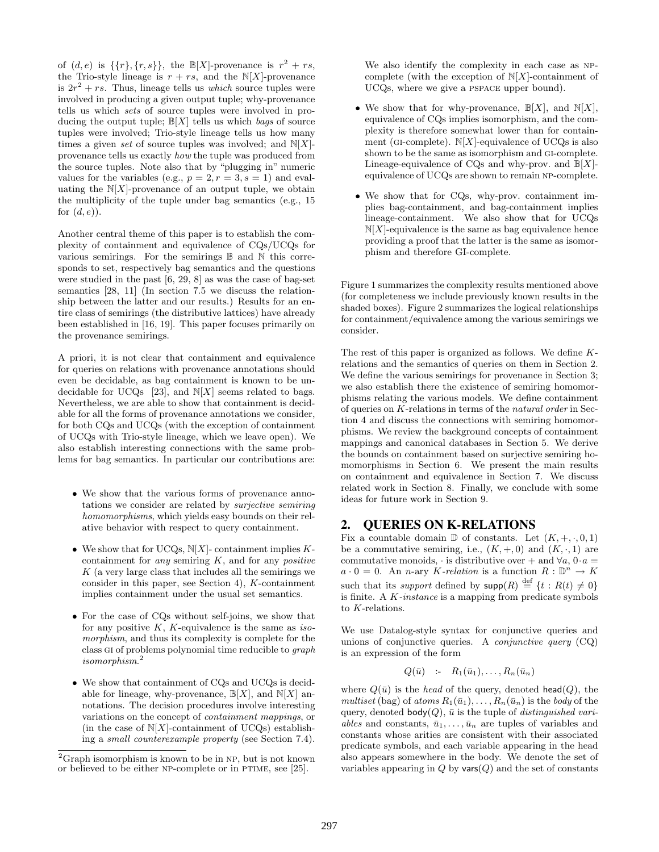of  $(d, e)$  is  $\{\{r\}, \{r, s\}\}\$ , the  $\mathbb{B}[X]$ -provenance is  $r^2 + rs$ , the Trio-style lineage is  $r + rs$ , and the N[X]-provenance is  $2r^2 + rs$ . Thus, lineage tells us *which* source tuples were involved in producing a given output tuple; why-provenance tells us which sets of source tuples were involved in producing the output tuple;  $\mathbb{B}[X]$  tells us which bags of source tuples were involved; Trio-style lineage tells us how many times a given set of source tuples was involved; and  $N[X]$ provenance tells us exactly how the tuple was produced from the source tuples. Note also that by "plugging in" numeric values for the variables (e.g.,  $p = 2, r = 3, s = 1$ ) and evaluating the  $N[X]$ -provenance of an output tuple, we obtain the multiplicity of the tuple under bag semantics (e.g., 15 for  $(d, e)$ .

Another central theme of this paper is to establish the complexity of containment and equivalence of CQs/UCQs for various semirings. For the semirings  $\mathbb B$  and  $\mathbb N$  this corresponds to set, respectively bag semantics and the questions were studied in the past [6, 29, 8] as was the case of bag-set semantics [28, 11] (In section 7.5 we discuss the relationship between the latter and our results.) Results for an entire class of semirings (the distributive lattices) have already been established in [16, 19]. This paper focuses primarily on the provenance semirings.

A priori, it is not clear that containment and equivalence for queries on relations with provenance annotations should even be decidable, as bag containment is known to be undecidable for UCQs [23], and  $N[X]$  seems related to bags. Nevertheless, we are able to show that containment is decidable for all the forms of provenance annotations we consider, for both CQs and UCQs (with the exception of containment of UCQs with Trio-style lineage, which we leave open). We also establish interesting connections with the same problems for bag semantics. In particular our contributions are:

- We show that the various forms of provenance annotations we consider are related by surjective semiring homomorphisms, which yields easy bounds on their relative behavior with respect to query containment.
- We show that for UCQs,  $N[X]$  containment implies Kcontainment for *any* semiring  $K$ , and for any *positive*  $K$  (a very large class that includes all the semirings we consider in this paper, see Section 4), K-containment implies containment under the usual set semantics.
- For the case of CQs without self-joins, we show that for any positive  $K$ ,  $K$ -equivalence is the same as isomorphism, and thus its complexity is complete for the class gi of problems polynomial time reducible to graph isomorphism. 2
- We show that containment of CQs and UCQs is decidable for lineage, why-provenance,  $\mathbb{B}[X]$ , and  $\mathbb{N}[X]$  annotations. The decision procedures involve interesting variations on the concept of containment mappings, or (in the case of  $N[X]$ -containment of UCQs) establishing a small counterexample property (see Section 7.4).

We also identify the complexity in each case as npcomplete (with the exception of  $N[X]$ -containment of UCQs, where we give a pspace upper bound).

- We show that for why-provenance,  $\mathbb{B}[X]$ , and  $\mathbb{N}[X]$ , equivalence of CQs implies isomorphism, and the complexity is therefore somewhat lower than for containment (GI-complete).  $N[X]$ -equivalence of UCQs is also shown to be the same as isomorphism and gi-complete. Lineage-equivalence of CQs and why-prov. and  $\mathbb{B}[X]$ equivalence of UCQs are shown to remain np-complete.
- We show that for CQs, why-prov. containment implies bag-containment, and bag-containment implies lineage-containment. We also show that for UCQs  $N[X]$ -equivalence is the same as bag equivalence hence providing a proof that the latter is the same as isomorphism and therefore GI-complete.

Figure 1 summarizes the complexity results mentioned above (for completeness we include previously known results in the shaded boxes). Figure 2 summarizes the logical relationships for containment/equivalence among the various semirings we consider.

The rest of this paper is organized as follows. We define Krelations and the semantics of queries on them in Section 2. We define the various semirings for provenance in Section 3; we also establish there the existence of semiring homomorphisms relating the various models. We define containment of queries on K-relations in terms of the natural order in Section 4 and discuss the connections with semiring homomorphisms. We review the background concepts of containment mappings and canonical databases in Section 5. We derive the bounds on containment based on surjective semiring homomorphisms in Section 6. We present the main results on containment and equivalence in Section 7. We discuss related work in Section 8. Finally, we conclude with some ideas for future work in Section 9.

# 2. QUERIES ON K-RELATIONS

Fix a countable domain  $\mathbb D$  of constants. Let  $(K, +, \cdot, 0, 1)$ be a commutative semiring, i.e.,  $(K, +, 0)$  and  $(K, \cdot, 1)$  are commutative monoids,  $\cdot$  is distributive over + and  $\forall a, 0 \cdot a =$  $a \cdot 0 = 0$ . An *n*-ary *K*-relation is a function  $R : \mathbb{D}^n \to K$ such that its *support* defined by  $\textsf{supp}(R) \stackrel{\text{def}}{=} \{t : R(t) \neq 0\}$ is finite. A K-instance is a mapping from predicate symbols to K-relations.

We use Datalog-style syntax for conjunctive queries and unions of conjunctive queries. A *conjunctive query*  $(CQ)$ is an expression of the form

$$
Q(\bar{u}) \quad \therefore \quad R_1(\bar{u}_1), \dots, R_n(\bar{u}_n)
$$

where  $Q(\bar{u})$  is the head of the query, denoted head(Q), the multiset (bag) of atoms  $R_1(\bar{u}_1), \ldots, R_n(\bar{u}_n)$  is the body of the query, denoted body $(Q)$ ,  $\bar{u}$  is the tuple of *distinguished vari*ables and constants,  $\bar{u}_1, \ldots, \bar{u}_n$  are tuples of variables and constants whose arities are consistent with their associated predicate symbols, and each variable appearing in the head also appears somewhere in the body. We denote the set of variables appearing in  $Q$  by vars $(Q)$  and the set of constants

 ${}^{2}$ Graph isomorphism is known to be in NP, but is not known or believed to be either np-complete or in ptime, see [25].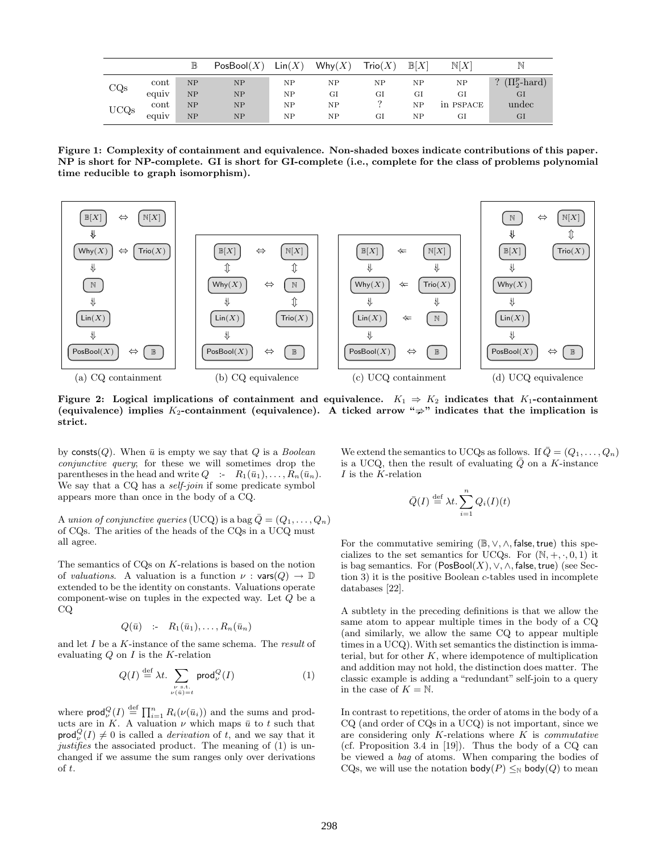|              |               | $\mathbb B$ | PosBool(X) | $\textsf{Lin}(X)$ | $W$ hy $(X)$ | $\operatorname{\mathsf{Trio}}(X)$ | $\mathbb{B}[X]$ | $\mathbb{N}[X]$ | N                 |
|--------------|---------------|-------------|------------|-------------------|--------------|-----------------------------------|-----------------|-----------------|-------------------|
| $_{\rm CQs}$ | cont          | NP          | NP         | NΡ                | NΡ           | NΡ                                | NP              | NP              | $(\Pi_2^p$ -hard) |
|              | . .<br>equiv  | NP          | NP         | NΡ                | GI           | GI                                | GI              | GI              | $_{\rm GI}$       |
| UCQs         | $_{\rm cont}$ | NP          | NP         | NΡ                | NΡ           | $\Omega$                          | NP              | in PSPACE       | undec             |
|              | equiv         | NP          | NP         | NΡ                | NΡ           | GI                                | NP              | GI              | $_{\rm GI}$       |

Figure 1: Complexity of containment and equivalence. Non-shaded boxes indicate contributions of this paper. NP is short for NP-complete. GI is short for GI-complete (i.e., complete for the class of problems polynomial time reducible to graph isomorphism).



Figure 2: Logical implications of containment and equivalence.  $K_1 \Rightarrow K_2$  indicates that K<sub>1</sub>-containment (equivalence) implies  $K_2$ -containment (equivalence). A ticked arrow " $\Rightarrow$ " indicates that the implication is<br>strict strict.

by consts(Q). When  $\bar{u}$  is empty we say that Q is a *Boolean* conjunctive query; for these we will sometimes drop the parentheses in the head and write  $Q : R_1(\bar{u}_1), \ldots, R_n(\bar{u}_n)$ . We say that a CQ has a *self-join* if some predicate symbol appears more than once in the body of a CQ.

A union of conjunctive queries (UCQ) is a bag  $\overline{Q} = (Q_1, \ldots, Q_n)$ of CQs. The arities of the heads of the CQs in a UCQ must all agree.

The semantics of CQs on K-relations is based on the notion of valuations. A valuation is a function  $\nu : \mathsf{vars}(Q) \to \mathbb{D}$ extended to be the identity on constants. Valuations operate component-wise on tuples in the expected way. Let Q be a CQ

$$
Q(\bar{u}) \quad \text{:-} \quad R_1(\bar{u}_1), \dots, R_n(\bar{u}_n)
$$

and let I be a K-instance of the same schema. The result of evaluating  $Q$  on  $I$  is the  $K$ -relation

$$
Q(I) \stackrel{\text{def}}{=} \lambda t. \sum_{\substack{\nu \text{ s.t.} \\ \nu(i) = t}} \mathsf{prod}_{\nu}^{Q}(I) \tag{1}
$$

where  $\mathsf{prod}_{\nu}^{\mathcal{Q}}(I) \stackrel{\text{def}}{=} \prod_{i=1}^{n} R_i(\nu(\bar{u}_i))$  and the sums and products are in K. A valuation  $\nu$  which maps  $\bar{u}$  to t such that  $\textsf{prod}_{\nu}^{Q}(I) \neq 0$  is called a *derivation* of t, and we say that it justifies the associated product. The meaning of (1) is unchanged if we assume the sum ranges only over derivations of t.

We extend the semantics to UCQs as follows. If  $\overline{Q} = (Q_1, \ldots, Q_n)$ is a UCQ, then the result of evaluating  $\overline{Q}$  on a K-instance I is the K-relation

$$
\bar{Q}(I) \stackrel{\text{def}}{=} \lambda t. \sum_{i=1}^{n} Q_i(I)(t)
$$

For the commutative semiring  $(\mathbb{B}, \vee, \wedge, \mathsf{false}, \mathsf{true})$  this specializes to the set semantics for UCQs. For  $(N, +, \cdot, 0, 1)$  it is bag semantics. For  $(PosBool(X), \vee, \wedge, false, true)$  (see Section 3) it is the positive Boolean c-tables used in incomplete databases [22].

A subtlety in the preceding definitions is that we allow the same atom to appear multiple times in the body of a CQ (and similarly, we allow the same CQ to appear multiple times in a UCQ). With set semantics the distinction is immaterial, but for other  $K$ , where idempotence of multiplication and addition may not hold, the distinction does matter. The classic example is adding a "redundant" self-join to a query in the case of  $K = N$ .

In contrast to repetitions, the order of atoms in the body of a CQ (and order of CQs in a UCQ) is not important, since we are considering only  $K$ -relations where  $K$  is *commutative* (cf. Proposition 3.4 in [19]). Thus the body of a CQ can be viewed a bag of atoms. When comparing the bodies of CQs, we will use the notation  $\mathsf{body}(P) \leq_{\mathbb{N}} \mathsf{body}(Q)$  to mean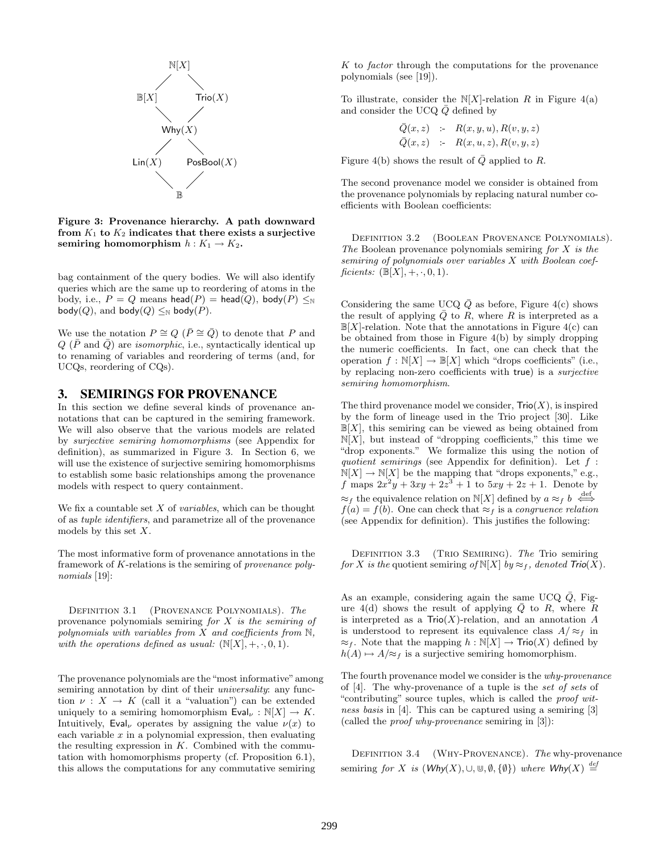

Figure 3: Provenance hierarchy. A path downward from  $K_1$  to  $K_2$  indicates that there exists a surjective semiring homomorphism  $h: K_1 \to K_2$ .

bag containment of the query bodies. We will also identify queries which are the same up to reordering of atoms in the body, i.e.,  $P = Q$  means head(P) = head(Q), body(P)  $\leq_N$ body(Q), and body(Q)  $\leq_N$  body(P).

We use the notation  $P \cong Q$  ( $\overline{P} \cong \overline{Q}$ ) to denote that P and  $Q(\bar{P} \text{ and } \bar{Q})$  are *isomorphic*, i.e., syntactically identical up to renaming of variables and reordering of terms (and, for UCQs, reordering of CQs).

#### 3. SEMIRINGS FOR PROVENANCE

In this section we define several kinds of provenance annotations that can be captured in the semiring framework. We will also observe that the various models are related by surjective semiring homomorphisms (see Appendix for definition), as summarized in Figure 3. In Section 6, we will use the existence of surjective semiring homomorphisms to establish some basic relationships among the provenance models with respect to query containment.

We fix a countable set  $X$  of *variables*, which can be thought of as tuple identifiers, and parametrize all of the provenance models by this set X.

The most informative form of provenance annotations in the framework of K-relations is the semiring of provenance polynomials [19]:

DEFINITION 3.1 (PROVENANCE POLYNOMIALS). The provenance polynomials semiring for  $X$  is the semiring of polynomials with variables from  $X$  and coefficients from  $\mathbb{N}$ , with the operations defined as usual:  $(N[X], +, \cdot, 0, 1)$ .

The provenance polynomials are the "most informative"among semiring annotation by dint of their *universality*: any function  $\nu : X \to K$  (call it a "valuation") can be extended uniquely to a semiring homomorphism  $Eval_{\nu} : \mathbb{N}[X] \to K$ . Intuitively, Eval<sub> $\nu$ </sub> operates by assigning the value  $\nu(x)$  to each variable  $x$  in a polynomial expression, then evaluating the resulting expression in  $K$ . Combined with the commutation with homomorphisms property (cf. Proposition 6.1), this allows the computations for any commutative semiring

 $K$  to *factor* through the computations for the provenance polynomials (see [19]).

To illustrate, consider the  $N[X]$ -relation R in Figure 4(a) and consider the UCQ  $\overline{Q}$  defined by

$$
\begin{array}{lcl} \bar{Q}(x,z) & \coloneqq & R(x,y,u), R(v,y,z) \\ \bar{Q}(x,z) & \coloneqq & R(x,u,z), R(v,y,z) \end{array}
$$

Figure 4(b) shows the result of  $\overline{Q}$  applied to R.

The second provenance model we consider is obtained from the provenance polynomials by replacing natural number coefficients with Boolean coefficients:

Definition 3.2 (Boolean Provenance Polynomials). The Boolean provenance polynomials semiring for  $X$  is the semiring of polynomials over variables X with Boolean coefficients:  $(\mathbb{B}[X], +, \cdot, 0, 1)$ .

Considering the same UCQ  $\overline{Q}$  as before, Figure 4(c) shows the result of applying  $\overline{Q}$  to R, where R is interpreted as a  $\mathbb{B}[X]$ -relation. Note that the annotations in Figure 4(c) can be obtained from those in Figure 4(b) by simply dropping the numeric coefficients. In fact, one can check that the operation  $f : \mathbb{N}[X] \to \mathbb{B}[X]$  which "drops coefficients" (i.e., by replacing non-zero coefficients with true) is a surjective semiring homomorphism.

The third provenance model we consider,  $\text{Trio}(X)$ , is inspired by the form of lineage used in the Trio project [30]. Like  $\mathbb{B}[X]$ , this semiring can be viewed as being obtained from  $N[X]$ , but instead of "dropping coefficients," this time we "drop exponents." We formalize this using the notion of quotient semirings (see Appendix for definition). Let  $f$ :  $N[X] \to N[X]$  be the mapping that "drops exponents," e.g., f maps  $2x^2y + 3xy + 2z^3 + 1$  to  $5xy + 2z + 1$ . Denote by  $\approx_f$  the equivalence relation on N[X] defined by  $a \approx_f b \stackrel{\text{def}}{\iff}$  $f(a) = f(b)$ . One can check that  $\approx_f$  is a *congruence relation* (see Appendix for definition). This justifies the following:

DEFINITION 3.3 (TRIO SEMIRING). The Trio semiring for X is the quotient semiring of  $N[X]$  by  $\approx_f$ , denoted  $Tri( X)$ .

As an example, considering again the same UCQ  $\overline{Q}$ , Figure 4(d) shows the result of applying  $\overline{Q}$  to R, where R is interpreted as a  $\text{Trio}(X)$ -relation, and an annotation A is understood to represent its equivalence class  $A/\approx_f$  in  $\approx_f$ . Note that the mapping  $h : \mathbb{N}[X] \to \text{Trio}(X)$  defined by  $h(A) \mapsto A/\approx_f$  is a surjective semiring homomorphism.

The fourth provenance model we consider is the why-provenance of [4]. The why-provenance of a tuple is the set of sets of "contributing" source tuples, which is called the proof witness basis in [4]. This can be captured using a semiring [3] (called the proof why-provenance semiring in [3]):

DEFINITION 3.4 (WHY-PROVENANCE). The why-provenance semiring for X is  $(Why(X), \cup, \emptyset, \{\emptyset\})$  where  $Why(X) \stackrel{def}{=}$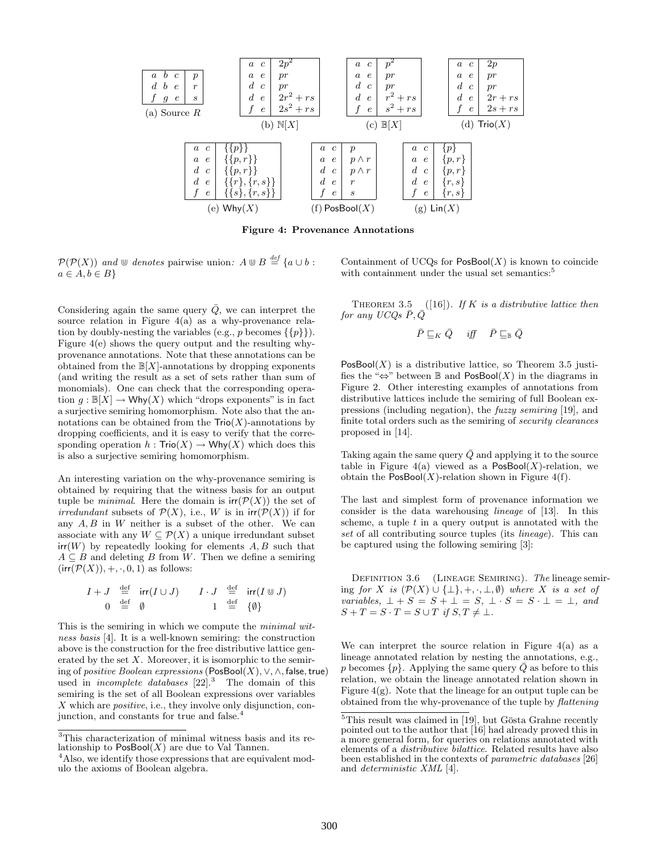

Figure 4: Provenance Annotations

 $\mathcal{P}(\mathcal{P}(X))$  and  $\mathbb{U}$  denotes pairwise union:  $A \mathbb{U} B \stackrel{def}{=} \{a \cup b :$  $a \in A, b \in B$ 

Considering again the same query  $\overline{Q}$ , we can interpret the source relation in Figure  $4(a)$  as a why-provenance relation by doubly-nesting the variables (e.g., p becomes  $\{\{p\}\}\$ ). Figure 4(e) shows the query output and the resulting whyprovenance annotations. Note that these annotations can be obtained from the  $\mathbb{B}[X]$ -annotations by dropping exponents (and writing the result as a set of sets rather than sum of monomials). One can check that the corresponding operation  $g : \mathbb{B}[X] \to \mathsf{Why}(X)$  which "drops exponents" is in fact a surjective semiring homomorphism. Note also that the annotations can be obtained from the  $\text{Trio}(X)$ -annotations by dropping coefficients, and it is easy to verify that the corresponding operation  $h : \text{Trio}(X) \to \text{Why}(X)$  which does this is also a surjective semiring homomorphism.

An interesting variation on the why-provenance semiring is obtained by requiring that the witness basis for an output tuple be *minimal*. Here the domain is  $irr(\mathcal{P}(X))$  the set of irredundant subsets of  $\mathcal{P}(X)$ , i.e., W is in  $irr(\mathcal{P}(X))$  if for any  $A, B$  in  $W$  neither is a subset of the other. We can associate with any  $W \subseteq \mathcal{P}(X)$  a unique irredundant subset  $irr(W)$  by repeatedly looking for elements  $A, B$  such that  $A \subseteq B$  and deleting B from W. Then we define a semiring  $(\text{irr}(\mathcal{P}(X)), +, \cdot, 0, 1)$  as follows:

$$
\begin{array}{ccc}\nI+J & \stackrel{\text{def}}{=} & \text{irr}(I \cup J) & I \cdot J & \stackrel{\text{def}}{=} & \text{irr}(I \cup J) \\
0 & \stackrel{\text{def}}{=} & \emptyset & 1 & \stackrel{\text{def}}{=} & \{\emptyset\}\n\end{array}
$$

This is the semiring in which we compute the *minimal wit*ness basis [4]. It is a well-known semiring: the construction above is the construction for the free distributive lattice generated by the set  $X$ . Moreover, it is isomorphic to the semiring of *positive Boolean expressions* (PosBool $(X)$ ,  $\vee$ ,  $\wedge$ , false, true) used in *incomplete databases*  $[22]$ <sup>3</sup> The domain of this semiring is the set of all Boolean expressions over variables  $X$  which are *positive*, i.e., they involve only disjunction, conjunction, and constants for true and false.<sup>4</sup>

Containment of UCQs for  $\mathsf{PosBool}(X)$  is known to coincide with containment under the usual set semantics:<sup>5</sup>

THEOREM 3.5 ([16]). If K is a distributive lattice then for any UCQs  $\bar{P}, \bar{Q}$ 

$$
\bar{P} \sqsubseteq_K \bar{Q} \quad \textit{iff} \quad \bar{P} \sqsubseteq_{\mathbb{B}} \bar{Q}
$$

 $PosBool(X)$  is a distributive lattice, so Theorem 3.5 justifies the "⇔" between  $\mathbb B$  and PosBool(X) in the diagrams in Figure 2. Other interesting examples of annotations from distributive lattices include the semiring of full Boolean expressions (including negation), the fuzzy semiring [19], and finite total orders such as the semiring of security clearances proposed in [14].

Taking again the same query  $\overline{Q}$  and applying it to the source table in Figure 4(a) viewed as a  $PosBool(X)$ -relation, we obtain the  $\mathsf{PosBool}(X)$ -relation shown in Figure 4(f).

The last and simplest form of provenance information we consider is the data warehousing lineage of [13]. In this scheme, a tuple  $t$  in a query output is annotated with the set of all contributing source tuples (its *lineage*). This can be captured using the following semiring [3]:

DEFINITION 3.6 (LINEAGE SEMIRING). The lineage semiring for X is  $(\mathcal{P}(X) \cup \{\bot\}, +, \cdot, \bot, \emptyset)$  where X is a set of variables,  $\bot + S = S + \bot = S$ ,  $\bot \cdot S = S \cdot \bot = \bot$ , and  $S + T = S \cdot T = S \cup T$  if  $S, T \neq \bot$ .

We can interpret the source relation in Figure  $4(a)$  as a lineage annotated relation by nesting the annotations, e.g., p becomes  $\{p\}$ . Applying the same query  $\overline{Q}$  as before to this relation, we obtain the lineage annotated relation shown in Figure  $4(g)$ . Note that the lineage for an output tuple can be obtained from the why-provenance of the tuple by flattening

<sup>3</sup>This characterization of minimal witness basis and its relationship to  $PosBool(X)$  are due to Val Tannen.

<sup>&</sup>lt;sup>4</sup>Also, we identify those expressions that are equivalent modulo the axioms of Boolean algebra.

 $5$ This result was claimed in [19], but Gösta Grahne recently pointed out to the author that [16] had already proved this in a more general form, for queries on relations annotated with elements of a distributive bilattice. Related results have also been established in the contexts of *parametric databases* [26] and deterministic XML [4].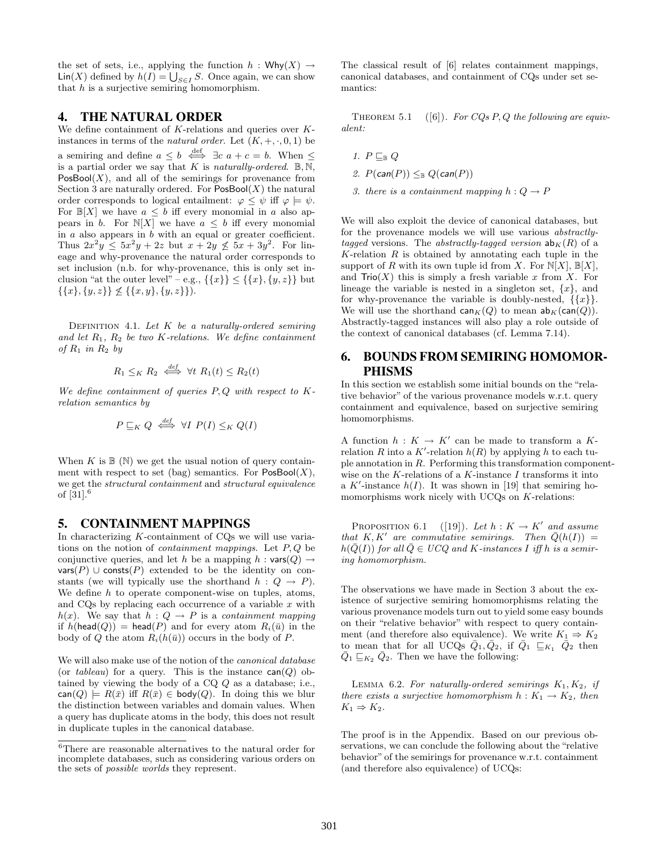the set of sets, i.e., applying the function  $h : \mathsf{Why}(X) \rightarrow$  $\text{Lin}(X)$  defined by  $h(I) = \bigcup_{S \in I} S$ . Once again, we can show that  $h$  is a surjective semiring homomorphism.

### 4. THE NATURAL ORDER

We define containment of  $K$ -relations and queries over  $K$ instances in terms of the natural order. Let  $(K, +, \cdot, 0, 1)$  be a semiring and define  $a \leq b \iff \exists c \ a + c = b$ . When  $\leq$ is a partial order we say that K is naturally-ordered.  $\mathbb{B}, \overline{\mathbb{N}},$  $PosBool(X)$ , and all of the semirings for provenance from Section 3 are naturally ordered. For  $\mathsf{PosBool}(X)$  the natural order corresponds to logical entailment:  $\varphi \leq \psi$  iff  $\varphi \models \psi$ . For  $\mathbb{B}[X]$  we have  $a \leq b$  iff every monomial in a also appears in b. For  $N[X]$  we have  $a \leq b$  iff every monomial in  $a$  also appears in  $b$  with an equal or greater coefficient. Thus  $2x^2y \le 5x^2y + 2z$  but  $x + 2y \le 5x + 3y^2$ . For lineage and why-provenance the natural order corresponds to set inclusion (n.b. for why-provenance, this is only set inclusion "at the outer level" – e.g.,  $\{\{x\}\}\leq \{\{x\}, \{y, z\}\}\$ but  $\{\{x\}, \{y, z\}\}\n\leq \{\{x, y\}, \{y, z\}\}.$ 

DEFINITION 4.1. Let  $K$  be a naturally-ordered semiring and let  $R_1$ ,  $R_2$  be two K-relations. We define containment of  $R_1$  in  $R_2$  by

$$
R_1 \leq_K R_2 \iff \forall t \ R_1(t) \leq R_2(t)
$$

We define containment of queries  $P, Q$  with respect to  $K$ relation semantics by

$$
P \sqsubseteq_K Q \iff \forall I \ P(I) \leq_K Q(I)
$$

When  $K$  is  $\mathbb B(\mathbb N)$  we get the usual notion of query containment with respect to set (bag) semantics. For  $\mathsf{PosBool}(X)$ , we get the structural containment and structural equivalence of [31]. $^{6}$ 

#### 5. CONTAINMENT MAPPINGS

In characterizing  $K$ -containment of  $CQs$  we will use variations on the notion of *containment mappings*. Let  $P, Q$  be conjunctive queries, and let h be a mapping  $h : \mathsf{vars}(Q) \rightarrow$ vars(P) ∪ consts(P) extended to be the identity on constants (we will typically use the shorthand  $h: Q \rightarrow P$ ). We define  $h$  to operate component-wise on tuples, atoms, and CQs by replacing each occurrence of a variable  $x$  with  $h(x)$ . We say that  $h: Q \rightarrow P$  is a containment mapping if  $h(\text{head}(Q)) = \text{head}(P)$  and for every atom  $R_i(\bar{u})$  in the body of Q the atom  $R_i(h(\bar{u}))$  occurs in the body of P.

We will also make use of the notion of the canonical database (or tableau) for a query. This is the instance  $can(Q)$  obtained by viewing the body of a CQ Q as a database; i.e.,  $\mathsf{can}(Q) \models R(\bar{x})$  iff  $R(\bar{x}) \in \mathsf{body}(Q)$ . In doing this we blur the distinction between variables and domain values. When a query has duplicate atoms in the body, this does not result in duplicate tuples in the canonical database.

The classical result of [6] relates containment mappings, canonical databases, and containment of CQs under set semantics:

THEOREM 5.1 ([6]). For CQs P, Q the following are equivalent:

$$
1. \, P \sqsubseteq_{\mathbb{B}} Q
$$

- 2.  $P(\text{can}(P)) \leq_{\mathbb{B}} Q(\text{can}(P))$
- 3. there is a containment mapping  $h: Q \to P$

We will also exploit the device of canonical databases, but for the provenance models we will use various abstractlytagged versions. The abstractly-tagged version  $ab_K(R)$  of a  $K$ -relation  $R$  is obtained by annotating each tuple in the support of R with its own tuple id from X. For  $N[X]$ ,  $\mathbb{B}[X]$ , and  $\text{Trio}(X)$  this is simply a fresh variable x from X. For lineage the variable is nested in a singleton set,  $\{x\}$ , and for why-provenance the variable is doubly-nested,  $\{\{x\}\}.$ We will use the shorthand  $\textsf{can}_K(Q)$  to mean  $\textsf{ab}_K(\textsf{can}(Q))$ . Abstractly-tagged instances will also play a role outside of the context of canonical databases (cf. Lemma 7.14).

# 6. BOUNDS FROM SEMIRING HOMOMOR-PHISMS

In this section we establish some initial bounds on the "relative behavior" of the various provenance models w.r.t. query containment and equivalence, based on surjective semiring homomorphisms.

A function  $h: K \to K'$  can be made to transform a Krelation R into a K'-relation  $h(R)$  by applying h to each tuple annotation in R. Performing this transformation componentwise on the K-relations of a K-instance  $I$  transforms it into a K'-instance  $h(I)$ . It was shown in [19] that semiring homomorphisms work nicely with UCQs on K-relations:

PROPOSITION 6.1 ([19]). Let  $h: K \to K'$  and assume that K, K' are commutative semirings. Then  $\overline{Q}(h(I)) =$  $h(\bar{Q}(I))$  for all  $\bar{Q} \in U CQ$  and K-instances I iff h is a semiring homomorphism.

The observations we have made in Section 3 about the existence of surjective semiring homomorphisms relating the various provenance models turn out to yield some easy bounds on their "relative behavior" with respect to query containment (and therefore also equivalence). We write  $K_1 \Rightarrow K_2$ to mean that for all UCQs  $\overline{Q}_1, \overline{Q}_2$ , if  $\overline{Q}_1 \subseteq_{K_1} \overline{Q}_2$  then  $\overline{Q}_1 \sqsubseteq_{K_2} \overline{Q}_2$ . Then we have the following:

LEMMA 6.2. For naturally-ordered semirings  $K_1, K_2$ , if there exists a surjective homomorphism  $h: K_1 \to K_2$ , then  $K_1 \Rightarrow K_2$ .

The proof is in the Appendix. Based on our previous observations, we can conclude the following about the "relative behavior" of the semirings for provenance w.r.t. containment (and therefore also equivalence) of UCQs:

 $^6\rm{There}$  are reasonable alternatives to the natural order for incomplete databases, such as considering various orders on the sets of possible worlds they represent.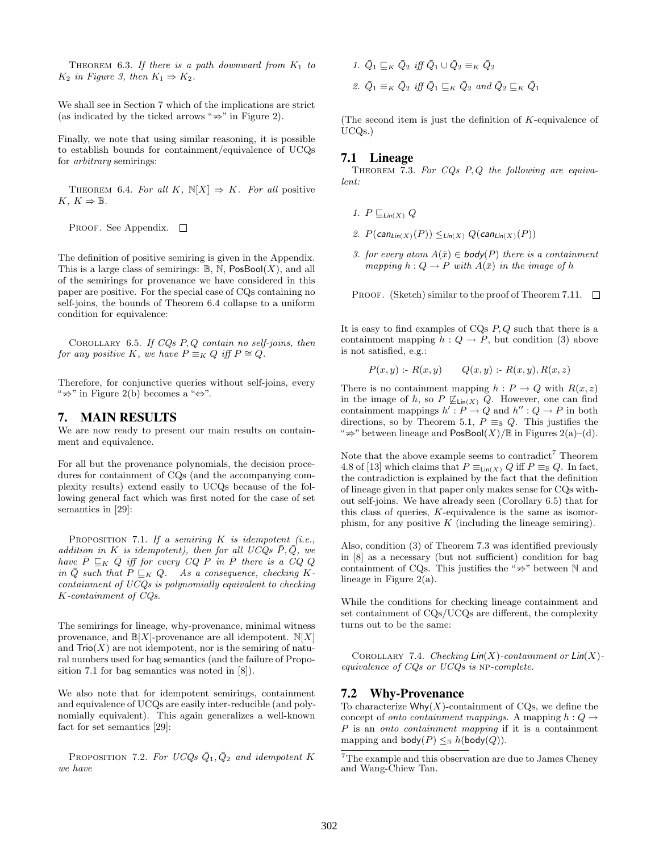THEOREM 6.3. If there is a path downward from  $K_1$  to  $K_2$  in Figure 3, then  $K_1 \Rightarrow K_2$ .

We shall see in Section 7 which of the implications are strict (as indicated by the ticked arrows " $\Rightarrow$ " in Figure 2).

Finally, we note that using similar reasoning, it is possible to establish bounds for containment/equivalence of UCQs for arbitrary semirings:

THEOREM 6.4. For all K,  $\mathbb{N}[X] \Rightarrow K$ . For all positive  $K, K \Rightarrow \mathbb{B}.$ 

PROOF. See Appendix.  $\square$ 

The definition of positive semiring is given in the Appendix. This is a large class of semirings:  $\mathbb{B}$ , N, PosBool(X), and all of the semirings for provenance we have considered in this paper are positive. For the special case of CQs containing no self-joins, the bounds of Theorem 6.4 collapse to a uniform condition for equivalence:

COROLLARY 6.5. If  $CQs$   $P,Q$  contain no self-joins, then for any positive K, we have  $P \equiv_K Q$  iff  $P \cong Q$ .

Therefore, for conjunctive queries without self-joins, every "  $\Rightarrow$ " in Figure 2(b) becomes a " $\Leftrightarrow$ ".

#### 7. MAIN RESULTS

We are now ready to present our main results on containment and equivalence.

For all but the provenance polynomials, the decision procedures for containment of CQs (and the accompanying complexity results) extend easily to UCQs because of the following general fact which was first noted for the case of set semantics in [29]:

PROPOSITION 7.1. If a semiring  $K$  is idempotent (i.e., addition in K is idempotent), then for all UCQs  $\bar{P}, \bar{Q},$  we have  $\bar{P} \sqsubseteq_K \bar{Q}$  iff for every  $CQ$  P in  $\bar{P}$  there is a  $CQ$  Q in  $\overline{Q}$  such that  $\overline{P} \subseteq_K Q$ . As a consequence, checking Kcontainment of UCQs is polynomially equivalent to checking K-containment of CQs.

The semirings for lineage, why-provenance, minimal witness provenance, and  $\mathbb{B}[X]$ -provenance are all idempotent.  $\mathbb{N}[X]$ and  $\text{Tri}(X)$  are not idempotent, nor is the semiring of natural numbers used for bag semantics (and the failure of Proposition 7.1 for bag semantics was noted in [8]).

We also note that for idempotent semirings, containment and equivalence of UCQs are easily inter-reducible (and polynomially equivalent). This again generalizes a well-known fact for set semantics [29]:

PROPOSITION 7.2. For UCQs  $\overline{Q}_1, \overline{Q}_2$  and idempotent K we have

\n- $$
1.
$$
  $\bar{Q}_1 \sqsubseteq_K \bar{Q}_2$  iff  $\bar{Q}_1 \cup \bar{Q}_2 \equiv_K \bar{Q}_2$
\n- $2.$   $\bar{Q}_1 \equiv_K \bar{Q}_2$  iff  $\bar{Q}_1 \sqsubseteq_K \bar{Q}_2$  and  $\bar{Q}_2 \sqsubseteq_K \bar{Q}_1$
\n

(The second item is just the definition of K-equivalence of UCQs.)

#### 7.1 Lineage

THEOREM 7.3. For  $CQs$  P, Q the following are equivalent:

- 1.  $P \sqsubseteq_{\text{Lin}(X)} Q$
- 2.  $P(\text{can}_{\text{Lin}(X)}(P)) \leq_{\text{Lin}(X)} Q(\text{can}_{\text{Lin}(X)}(P))$
- 3. for every atom  $A(\bar{x}) \in \mathsf{body}(P)$  there is a containment mapping  $h: Q \to P$  with  $A(\bar{x})$  in the image of h

PROOF. (Sketch) similar to the proof of Theorem 7.11.  $\Box$ 

It is easy to find examples of  $CQs P, Q$  such that there is a containment mapping  $h: Q \to P$ , but condition (3) above is not satisfied, e.g.:

$$
P(x, y) : R(x, y) \qquad Q(x, y) : R(x, y), R(x, z)
$$

There is no containment mapping  $h : P \to Q$  with  $R(x, z)$ in the image of h, so  $P \not\subseteq_{\text{Lin}(X)} Q$ . However, one can find containment mappings  $h': P \to Q$  and  $h'': Q \to P$  in both directions, so by Theorem 5.1,  $P \equiv_{\mathbb{B}} Q$ . This justifies the "  $\Rightarrow$ " between lineage and  $\mathsf{PosBool}(X)/\mathbb{B}$  in Figures 2(a)–(d).

Note that the above example seems to contradict<sup>7</sup> Theorem 4.8 of [13] which claims that  $P \equiv_{\text{Lin}(X)} Q$  iff  $P \equiv_{\mathbb{B}} Q$ . In fact, the contradiction is explained by the fact that the definition of lineage given in that paper only makes sense for CQs without self-joins. We have already seen (Corollary 6.5) that for this class of queries, K-equivalence is the same as isomorphism, for any positive  $K$  (including the lineage semiring).

Also, condition (3) of Theorem 7.3 was identified previously in [8] as a necessary (but not sufficient) condition for bag containment of CQs. This justifies the " $\Rightarrow$ " between N and<br>lineage in Figure 2(a) lineage in Figure 2(a).

While the conditions for checking lineage containment and set containment of CQs/UCQs are different, the complexity turns out to be the same:

COROLLARY 7.4. Checking  $\text{Lin}(X)$ -containment or  $\text{Lin}(X)$ equivalence of CQs or UCQs is np-complete.

### 7.2 Why-Provenance

To characterize  $Whv(X)$ -containment of CQs, we define the concept of onto containment mappings. A mapping  $h: Q \rightarrow$ P is an onto containment mapping if it is a containment mapping and  $\text{body}(P) \leq_{\mathbb{N}} h(\text{body}(Q)).$ 

<sup>7</sup>The example and this observation are due to James Cheney and Wang-Chiew Tan.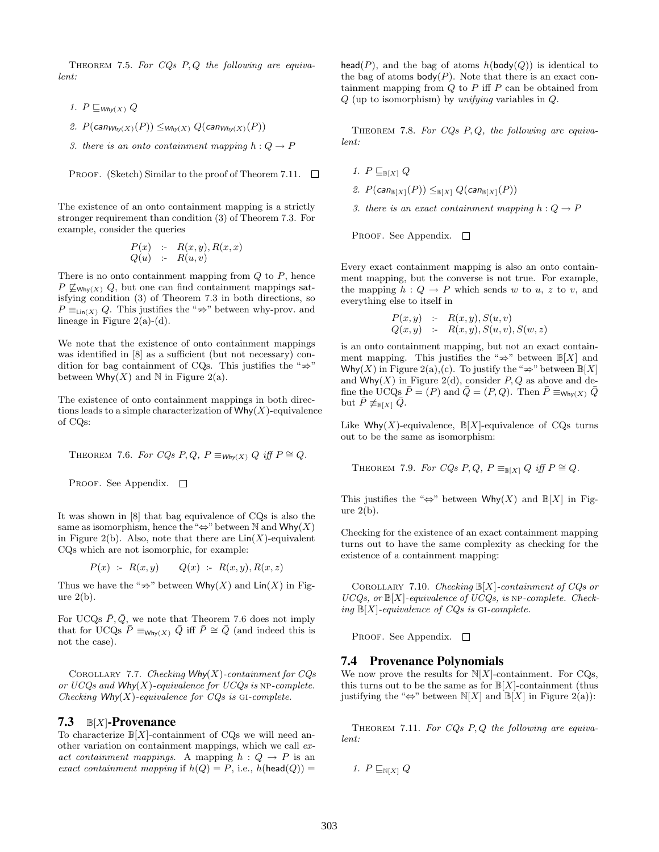THEOREM 7.5. For  $CQs$   $P,Q$  the following are equivalent:

- 1.  $P \sqsubseteq_{Why(X)} Q$
- 2.  $P(\text{can}_{W \text{hy}(X)}(P)) \leq_{W \text{hy}(X)} Q(\text{can}_{W \text{hy}(X)}(P))$
- 3. there is an onto containment mapping  $h: Q \to P$

**PROOF.** (Sketch) Similar to the proof of Theorem 7.11. 
$$
\Box
$$

The existence of an onto containment mapping is a strictly stronger requirement than condition (3) of Theorem 7.3. For example, consider the queries

$$
\begin{array}{lcl} P(x) & \mathrel{\mathop{:}}= & R(x,y), R(x,x) \\ Q(u) & \mathrel{\mathop{:}}= & R(u,v) \end{array}
$$

There is no onto containment mapping from  $Q$  to  $P$ , hence  $P \not\sqsubseteq_{\text{Why}(X)} Q$ , but one can find containment mappings satisfying condition (3) of Theorem 7.3 in both directions, so  $P \equiv_{\text{Lin}(X)} Q$ . This justifies the " $\Rightarrow$ " between why-prov. and lineare in Figure 2(a) (d) lineage in Figure  $2(a)-(d)$ .

We note that the existence of onto containment mappings was identified in [8] as a sufficient (but not necessary) condition for bag containment of CQs. This justifies the " $\Rightarrow$ "<br>between Why(X) and N in Figure 2(a) between  $Why(X)$  and N in Figure 2(a).

The existence of onto containment mappings in both directions leads to a simple characterization of  $Why(X)$ -equivalence of CQs:

THEOREM 7.6. For CQs P, Q,  $P \equiv_{W \text{hv}(X)} Q$  iff  $P \cong Q$ .

PROOF. See Appendix.  $\square$ 

It was shown in [8] that bag equivalence of CQs is also the same as isomorphism, hence the "⇔" between N and  $Why(X)$ in Figure 2(b). Also, note that there are  $\text{Lin}(X)$ -equivalent CQs which are not isomorphic, for example:

$$
P(x) := R(x, y) \qquad Q(x) = R(x, y), R(x, z)
$$

Thus we have the " $\Rightarrow$ " between Why(X) and Lin(X) in Fig-<br>uro 2(b) ure  $2(b)$ .

For UCQs  $\bar{P}, \bar{Q}$ , we note that Theorem 7.6 does not imply that for UCQs  $\bar{P} \equiv_{\text{Whv}(X)} \bar{Q}$  iff  $\bar{P} \cong \bar{Q}$  (and indeed this is not the case).

COROLLARY 7.7. Checking  $Why(X)$ -containment for CQs or  $UCQs$  and  $Why(X)$ -equivalence for  $UCQs$  is NP-complete. Checking  $W$ hy $(X)$ -equivalence for CQs is GI-complete.

### 7.3  $B[X]$ -Provenance

To characterize  $\mathbb{B}[X]$ -containment of CQs we will need another variation on containment mappings, which we call exact containment mappings. A mapping  $h: Q \to P$  is an exact containment mapping if  $h(Q) = P$ , i.e.,  $h(\text{head}(Q)) =$ 

head(P), and the bag of atoms  $h(\text{body}(Q))$  is identical to the bag of atoms  $body(P)$ . Note that there is an exact containment mapping from  $Q$  to  $P$  iff  $P$  can be obtained from  $Q$  (up to isomorphism) by unifying variables in  $Q$ .

THEOREM 7.8. For  $CQs$   $P, Q$ , the following are equivalent:

1.  $P \sqsubseteq_{\mathbb{B}[X]} Q$ 

2.  $P(\text{can}_{\mathbb{B}[X]}(P)) \leq_{\mathbb{B}[X]} Q(\text{can}_{\mathbb{B}[X]}(P))$ 

3. there is an exact containment mapping  $h: Q \to P$ 

PROOF. See Appendix.  $\square$ 

Every exact containment mapping is also an onto containment mapping, but the converse is not true. For example, the mapping  $h: Q \to P$  which sends w to u, z to v, and everything else to itself in

$$
P(x, y) := R(x, y), S(u, v)
$$
  
 
$$
Q(x, y) := R(x, y), S(u, v), S(w, z)
$$

is an onto containment mapping, but not an exact containment mapping. This justifies the " $\Rightarrow$ " between  $\mathbb{B}[X]$  and ment mapping. This justifies the " $\Rightarrow$ " between  $\mathbb{B}[X]$  and Why(X) in Figure 2(a),(c). To justify the " $\Rightarrow$ " between  $\mathbb{B}[X]$  $\mathsf{wny}(A)$  in Figure 2(a),(c). To justify the  $\Rightarrow$  between  $\mathbb{B}[A]$ <br>and Why(X) in Figure 2(d), consider P, Q as above and define the UCQs  $\bar{P} = (P)$  and  $\bar{Q} = (P, Q)$ . Then  $\bar{P} \equiv_{W \mid W}(X)$   $\bar{Q}$ but  $\bar{P} \not\equiv_{\mathbb{B}[X]} \bar{Q}$ .

Like Why(X)-equivalence,  $\mathbb{B}[X]$ -equivalence of CQs turns out to be the same as isomorphism:

THEOREM 7.9. For CQs P, Q,  $P \equiv_{\mathbb{B}[X]} Q$  iff  $P \cong Q$ .

This justifies the "⇔" between Why(X) and  $\mathbb{B}[X]$  in Figure  $2(b)$ .

Checking for the existence of an exact containment mapping turns out to have the same complexity as checking for the existence of a containment mapping:

COROLLARY 7.10. Checking  $\mathbb{B}[X]$ -containment of CQs or  $UCQs$ , or  $\mathbb{B}[X]$ -equivalence of  $UCQs$ , is NP-complete. Checking  $\mathbb{B}[X]$ -equivalence of CQs is GI-complete.

PROOF. See Appendix.  $\square$ 

#### 7.4 Provenance Polynomials

We now prove the results for  $N[X]$ -containment. For CQs, this turns out to be the same as for  $\mathbb{B}[X]$ -containment (thus justifying the "⇔" between  $\mathbb{N}[X]$  and  $\mathbb{B}[X]$  in Figure 2(a)):

THEOREM 7.11. For  $CQs$  P, Q the following are equivalent:

1. 
$$
P \sqsubseteq_{\mathbb{N}[X]} Q
$$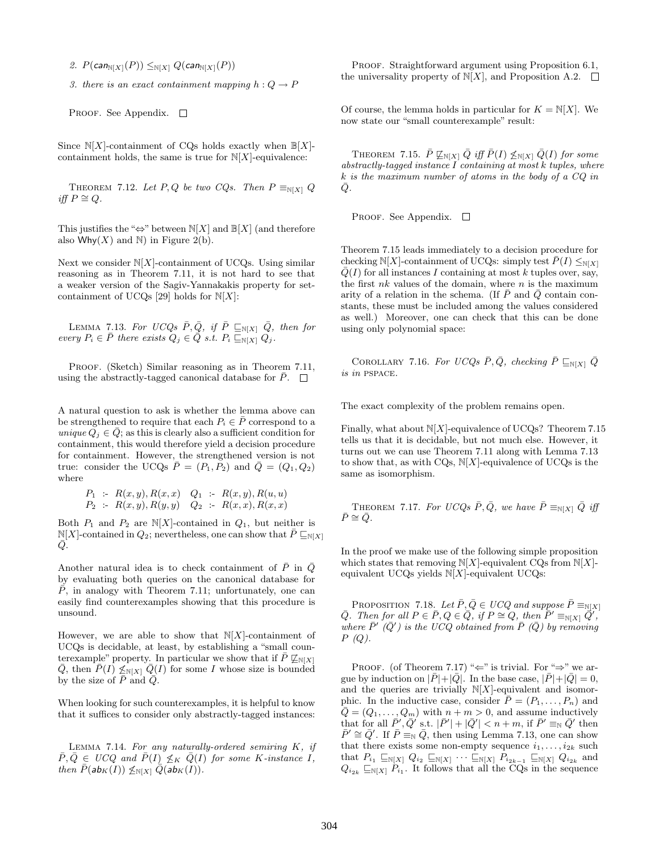2.  $P(\text{can}_{N[X]}(P)) \leq_{N[X]} Q(\text{can}_{N[X]}(P))$ 

3. there is an exact containment mapping  $h: Q \to P$ 

PROOF. See Appendix.  $\square$ 

Since  $N[X]$ -containment of CQs holds exactly when  $\mathbb{B}[X]$ containment holds, the same is true for  $N[X]$ -equivalence:

THEOREM 7.12. Let P, Q be two CQs. Then  $P \equiv_{N[X]} Q$ *iff*  $P \cong Q$ .

This justifies the " $\Leftrightarrow$ " between N[X] and B[X] (and therefore also Why $(X)$  and N) in Figure 2(b).

Next we consider  $N[X]$ -containment of UCQs. Using similar reasoning as in Theorem 7.11, it is not hard to see that a weaker version of the Sagiv-Yannakakis property for setcontainment of UCQs [29] holds for  $N[X]$ :

LEMMA 7.13. For UCQs  $\bar{P}, \bar{Q}$ , if  $\bar{P} \sqsubseteq_{\mathbb{N}[X]} \bar{Q}$ , then for every  $P_i \in \overline{P}$  there exists  $Q_j \in \overline{Q}$  s.t.  $P_i \sqsubseteq_{\mathbb{N}[X]} Q_j$ .

PROOF. (Sketch) Similar reasoning as in Theorem 7.11, using the abstractly-tagged canonical database for  $\bar{P}$ .  $\Box$ 

A natural question to ask is whether the lemma above can be strengthened to require that each  $P_i \in P$  correspond to a unique  $Q_j \in Q$ ; as this is clearly also a sufficient condition for containment, this would therefore yield a decision procedure for containment. However, the strengthened version is not true: consider the UCQs  $\overline{P} = (P_1, P_2)$  and  $\overline{Q} = (Q_1, Q_2)$ where

$$
P_1 := R(x, y), R(x, x) \quad Q_1 := R(x, y), R(u, u)
$$
  

$$
P_2 := R(x, y), R(y, y) \quad Q_2 := R(x, x), R(x, x)
$$

Both  $P_1$  and  $P_2$  are N[X]-contained in  $Q_1$ , but neither is  $N[X]$ -contained in  $Q_2$ ; nevertheless, one can show that  $\bar{P} \sqsubseteq_{N[X]}$  $\bar{Q}$ .

Another natural idea is to check containment of  $\bar{P}$  in  $\bar{Q}$ by evaluating both queries on the canonical database for  $\overline{P}$ , in analogy with Theorem 7.11; unfortunately, one can easily find counterexamples showing that this procedure is unsound.

However, we are able to show that  $N[X]$ -containment of UCQs is decidable, at least, by establishing a "small counterexample" property. In particular we show that if  $\bar{P} \not\subseteq_{\mathbb{N}[X]}$  $\overline{Q}$ , then  $\overline{P}(I) \nleq_{N[X]} \overline{Q}(I)$  for some I whose size is bounded by the size of  $\bar{P}$  and  $\bar{Q}$ .

When looking for such counterexamples, it is helpful to know that it suffices to consider only abstractly-tagged instances:

LEMMA 7.14. For any naturally-ordered semiring  $K$ , if  $\overline{P}, \overline{Q} \in U C Q$  and  $\overline{P}(I) \not\leq_K \overline{Q}(I)$  for some K-instance I, then  $\bar{P}(\mathsf{ab}_K(I)) \not\leq_{\mathbb{N}[X]} \bar{Q}(\mathsf{ab}_K(I)).$ 

PROOF. Straightforward argument using Proposition 6.1, the universality property of  $N[X]$ , and Proposition A.2.  $\Box$ 

Of course, the lemma holds in particular for  $K = N[X]$ . We now state our "small counterexample" result:

THEOREM 7.15.  $\bar{P} \not\sqsubseteq_{\mathbb{N}[X]} \bar{Q}$  iff  $\bar{P}(I) \not\leq_{\mathbb{N}[X]} \bar{Q}(I)$  for some  $abstractly-tagged instance I containing at most k tuples, where$ k is the maximum number of atoms in the body of a CQ in  $\bar{Q}$ .

PROOF. See Appendix.  $\square$ 

Theorem 7.15 leads immediately to a decision procedure for checking N[X]-containment of UCQs: simply test  $\bar{P}(I) \leq_{N[X]}$  $Q(I)$  for all instances I containing at most k tuples over, say, the first  $nk$  values of the domain, where  $n$  is the maximum arity of a relation in the schema. (If  $\bar{P}$  and  $\bar{Q}$  contain constants, these must be included among the values considered as well.) Moreover, one can check that this can be done using only polynomial space:

COROLLARY 7.16. For UCQs  $\bar{P}, \bar{Q}$ , checking  $\bar{P} \sqsubseteq_{N[X]} \bar{Q}$ is in pspace.

The exact complexity of the problem remains open.

Finally, what about  $N[X]$ -equivalence of UCQs? Theorem 7.15 tells us that it is decidable, but not much else. However, it turns out we can use Theorem 7.11 along with Lemma 7.13 to show that, as with CQs,  $N[X]$ -equivalence of UCQs is the same as isomorphism.

THEOREM 7.17. For UCQs  $\bar{P}, \bar{Q}$ , we have  $\bar{P} \equiv_{N[X]} \bar{Q}$  iff  $\bar{P}\cong \bar{Q}$ .

In the proof we make use of the following simple proposition which states that removing  $N[X]$ -equivalent CQs from  $N[X]$ equivalent UCQs yields  $N[X]$ -equivalent UCQs:

PROPOSITION 7.18. Let  $\bar{P}, \bar{Q} \in U CQ$  and suppose  $\bar{P} \equiv_{\mathbb{N}[X]}$  $\overline{Q}$ . Then for all  $P \in \overline{P}$ ,  $Q \in \overline{Q}$ , if  $P \cong Q$ , then  $P' \equiv_{\mathbb{N}[X]} \overline{Q}'$ , where  $\overline{P}'(\overline{Q}')$  is the UCQ obtained from  $\overline{P}$  ( $\overline{Q}$ ) by removing  $P(Q)$ .

PROOF. (of Theorem 7.17) " $\Leftarrow$ " is trivial. For " $\Rightarrow$ " we argue by induction on  $|\bar{P}|+|\bar{Q}|$ . In the base case,  $|\bar{P}|+|\bar{Q}|=0$ , and the queries are trivially  $N[X]$ -equivalent and isomorphic. In the inductive case, consider  $\bar{P} = (P_1, \ldots, P_n)$  and  $\overline{Q} = (Q_1, \ldots, Q_m)$  with  $n + m > 0$ , and assume inductively that for all  $\bar{P}', \bar{Q}'$  s.t.  $|\bar{P}'| + |\bar{Q}'| < n+m$ , if  $\bar{P}' \equiv_{\mathbb{N}} \bar{Q}'$  then  $\bar{P}' \cong \bar{Q}'$ . If  $\bar{P} \equiv_{\mathbb{N}} \bar{Q}$ , then using Lemma 7.13, one can show that there exists some non-empty sequence  $i_1, \ldots, i_{2k}$  such that  $P_{i_1} \sqsubseteq_{\mathbb{N}[X]} Q_{i_2} \sqsubseteq_{\mathbb{N}[X]} \cdots \sqsubseteq_{\mathbb{N}[X]} P_{i_{2k-1}} \sqsubseteq_{\mathbb{N}[X]} Q_{i_{2k}}$  and  $Q_{i_{2k}} \sqsubseteq_{\mathbb{N}[X]} P_{i_1}$ . It follows that all the CQs in the sequence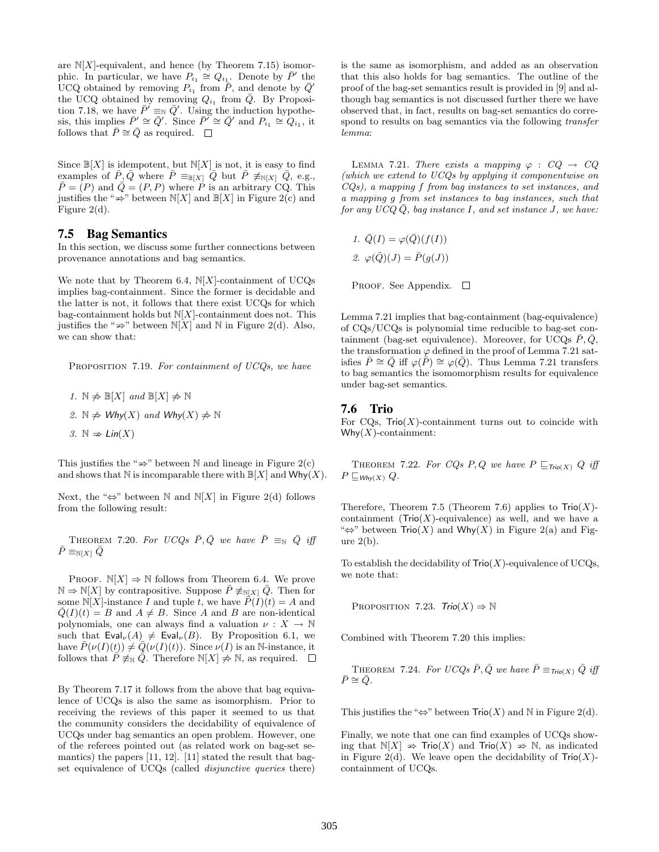are  $N[X]$ -equivalent, and hence (by Theorem 7.15) isomorphic. In particular, we have  $P_{i_1} \cong Q_{i_1}$ . Denote by  $\bar{P}'$  the UCQ obtained by removing  $P_{i_1}$  from  $\overline{P}_1$ , and denote by  $\overline{Q}'$ the UCQ obtained by removing  $Q_{i_1}$  from  $\overline{Q}$ . By Proposition 7.18, we have  $\overline{P}' \equiv_{\mathbb{N}} \overline{Q}'$ . Using the induction hypothesis, this implies  $\bar{P}' \cong \bar{Q}'$ . Since  $\bar{P}' \cong \bar{Q}'$  and  $P_{i_1} \cong Q_{i_1}$ , it follows that  $\overline{P} \cong \overline{Q}$  as required.  $\Box$ 

Since  $\mathbb{B}[X]$  is idempotent, but  $\mathbb{N}[X]$  is not, it is easy to find examples of  $\bar{P}, \bar{Q}$  where  $\bar{P} \equiv_{\mathbb{B}[X]} \bar{Q}$  but  $\bar{P} \not\equiv_{\mathbb{N}[X]} \bar{Q}$ , e.g.,  $\overline{P} = (P)$  and  $\overline{Q} = (P, P)$  where P is an arbitrary CQ. This justifies the " $\Rightarrow$ " between N[X] and  $\mathbb{B}[X]$  in Figure 2(c) and Figure 2(d) Figure 2(d).

# 7.5 Bag Semantics

In this section, we discuss some further connections between provenance annotations and bag semantics.

We note that by Theorem 6.4,  $N[X]$ -containment of UCQs implies bag-containment. Since the former is decidable and the latter is not, it follows that there exist UCQs for which bag-containment holds but  $N[X]$ -containment does not. This justifies the " $\Rightarrow$ " between  $\mathbb{N}[X]$  and  $\mathbb N$  in Figure 2(d). Also, we can show that:

PROPOSITION 7.19. For containment of UCQs, we have

\n- $$
1. \mathbb{N} \neq \mathbb{B}[X]
$$
 and  $\mathbb{B}[X] \neq \mathbb{N}$
\n- $\mathbb{R} \neq \mathsf{Why}(X)$  and  $\mathsf{Why}(X) \neq \mathbb{N}$
\n- $\mathbb{R} \Rightarrow \mathsf{Lin}(X)$
\n

This justifies the " $\Rightarrow$ " between N and lineage in Figure 2(c) This justifies the  $\Rightarrow$  between N and Ineage in Figure  $Z(C)$  and shows that N is incomparable there with  $\mathbb{B}[X]$  and  $Why(X)$ .

Next, the "⇔" between N and  $N[X]$  in Figure 2(d) follows from the following result:

THEOREM 7.20. For UCQs  $\bar{P}, \bar{Q}$  we have  $\bar{P} \equiv_{\mathbb{N}} \bar{Q}$  iff  $\bar{P} \equiv_{N[X]} \bar{Q}$ 

PROOF.  $\mathbb{N}[X] \Rightarrow \mathbb{N}$  follows from Theorem 6.4. We prove  $\mathbb{N} \Rightarrow \mathbb{N}[X]$  by contrapositive. Suppose  $\overline{P} \not\equiv_{\mathbb{N}[X]} \overline{Q}$ . Then for some  $N[X]$ -instance I and tuple t, we have  $\overline{P}(I)(t) = A$  and  $Q(I)(t) = B$  and  $A \neq B$ . Since A and B are non-identical polynomials, one can always find a valuation  $\nu : X \to \mathbb{N}$ such that  $\textsf{Eval}_{\nu}(A) \neq \textsf{Eval}_{\nu}(B)$ . By Proposition 6.1, we have  $P(\nu(I)(t)) \neq Q(\nu(I)(t))$ . Since  $\nu(I)$  is an N-instance, it follows that  $P \neq_{\mathbb{N}} Q$ . Therefore  $\mathbb{N}[X] \neq \mathbb{N}$ , as required.  $\square$ 

By Theorem 7.17 it follows from the above that bag equivalence of UCQs is also the same as isomorphism. Prior to receiving the reviews of this paper it seemed to us that the community considers the decidability of equivalence of UCQs under bag semantics an open problem. However, one of the referees pointed out (as related work on bag-set semantics) the papers [11, 12]. [11] stated the result that bagset equivalence of UCQs (called *disjunctive queries* there) is the same as isomorphism, and added as an observation that this also holds for bag semantics. The outline of the proof of the bag-set semantics result is provided in [9] and although bag semantics is not discussed further there we have observed that, in fact, results on bag-set semantics do correspond to results on bag semantics via the following *transfer* lemma:

LEMMA 7.21. There exists a mapping  $\varphi : CQ \rightarrow CQ$ (which we extend to UCQs by applying it componentwise on CQs), a mapping f from bag instances to set instances, and a mapping g from set instances to bag instances, such that for any  $UCQQ$ , bag instance I, and set instance J, we have:

1. 
$$
\overline{Q}(I) = \varphi(\overline{Q})(f(I))
$$
  
2.  $\varphi(\overline{Q})(J) = \overline{P}(g(J))$ 

PROOF. See Appendix.  $\square$ 

Lemma 7.21 implies that bag-containment (bag-equivalence) of CQs/UCQs is polynomial time reducible to bag-set containment (bag-set equivalence). Moreover, for UCQs  $\bar{P}, \bar{Q},$ the transformation  $\varphi$  defined in the proof of Lemma 7.21 satisfies  $\bar{P} \cong \bar{Q}$  iff  $\varphi(\bar{P}) \cong \varphi(\bar{Q})$ . Thus Lemma 7.21 transfers to bag semantics the isomomorphism results for equivalence under bag-set semantics.

#### 7.6 Trio

For CQs,  $Tri( X)$ -containment turns out to coincide with  $W$ hy $(X)$ -containment:

THEOREM 7.22. For CQs P, Q we have  $P \sqsubseteq_{\text{Tri}(X)} Q$  iff  $P \sqsubseteq_{W \mathsf{hv}(X)} Q.$ 

Therefore, Theorem 7.5 (Theorem 7.6) applies to  $\text{Tri}(X)$ containment ( $\text{Trio}(X)$ -equivalence) as well, and we have a " $\Leftrightarrow$ " between  $\text{Trio}(X)$  and  $\text{Why}(X)$  in Figure 2(a) and Figure  $2(b)$ .

To establish the decidability of  $\text{Trio}(X)$ -equivalence of UCQs, we note that:

PROPOSITION 7.23.  $Trio(X) \Rightarrow \mathbb{N}$ 

Combined with Theorem 7.20 this implies:

THEOREM 7.24. For UCQs  $\bar{P}$ ,  $\bar{Q}$  we have  $\bar{P} \equiv_{\text{Trio}(X)} \bar{Q}$  iff  $\bar{P}\cong \bar{Q}$ .

This justifies the "⇔" between  $\text{Trio}(X)$  and N in Figure 2(d).

Finally, we note that one can find examples of UCQs showing that  $\mathbb{N}[X] \Rightarrow \text{Trio}(X)$  and  $\text{Trio}(X) \Rightarrow \mathbb{N}$ , as indicated ing that  $\mathbb{N}[X] \neq \mathbb{N}(X)$  and  $\mathbb{N}(X) \neq \mathbb{N}$ , as indicated<br>in Figure 2(d). We leave open the decidability of  $\text{Trio}(X)$ containment of UCQs.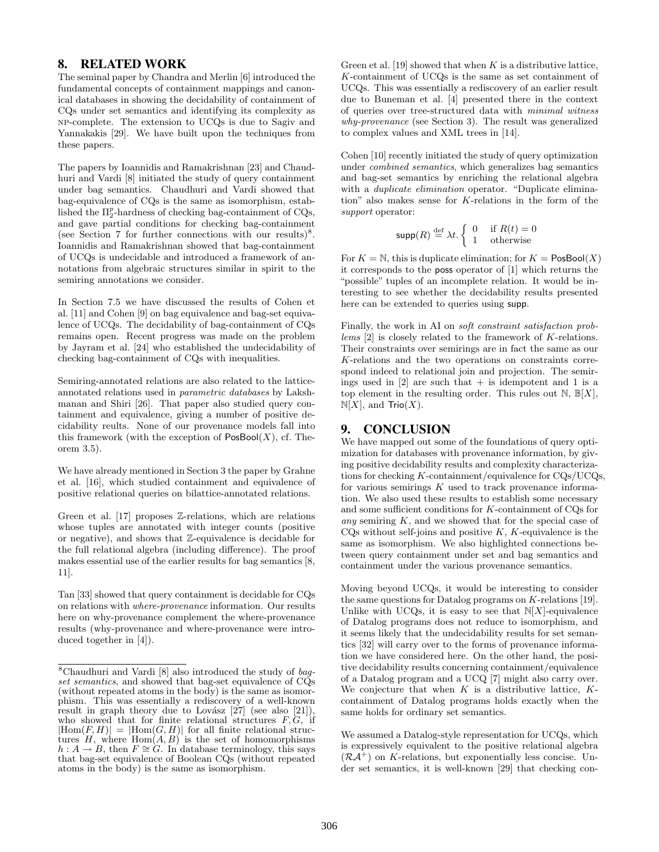# 8. RELATED WORK

The seminal paper by Chandra and Merlin [6] introduced the fundamental concepts of containment mappings and canonical databases in showing the decidability of containment of CQs under set semantics and identifying its complexity as np-complete. The extension to UCQs is due to Sagiv and Yannakakis [29]. We have built upon the techniques from these papers.

The papers by Ioannidis and Ramakrishnan [23] and Chaudhuri and Vardi [8] initiated the study of query containment under bag semantics. Chaudhuri and Vardi showed that bag-equivalence of CQs is the same as isomorphism, established the  $\Pi_2^p$ -hardness of checking bag-containment of CQs, and gave partial conditions for checking bag-containment (see Section 7 for further connections with our results)<sup>8</sup>. Ioannidis and Ramakrishnan showed that bag-containment of UCQs is undecidable and introduced a framework of annotations from algebraic structures similar in spirit to the semiring annotations we consider.

In Section 7.5 we have discussed the results of Cohen et al. [11] and Cohen [9] on bag equivalence and bag-set equivalence of UCQs. The decidability of bag-containment of CQs remains open. Recent progress was made on the problem by Jayram et al. [24] who established the undecidability of checking bag-containment of CQs with inequalities.

Semiring-annotated relations are also related to the latticeannotated relations used in parametric databases by Lakshmanan and Shiri [26]. That paper also studied query containment and equivalence, giving a number of positive decidability reults. None of our provenance models fall into this framework (with the exception of  $\mathsf{PosBool}(X)$ , cf. Theorem 3.5).

We have already mentioned in Section 3 the paper by Grahne et al. [16], which studied containment and equivalence of positive relational queries on bilattice-annotated relations.

Green et al.  $[17]$  proposes  $\mathbb{Z}$ -relations, which are relations whose tuples are annotated with integer counts (positive or negative), and shows that Z-equivalence is decidable for the full relational algebra (including difference). The proof makes essential use of the earlier results for bag semantics [8, 11].

Tan [33] showed that query containment is decidable for CQs on relations with where-provenance information. Our results here on why-provenance complement the where-provenance results (why-provenance and where-provenance were introduced together in [4]).

Green et al. [19] showed that when  $K$  is a distributive lattice, K-containment of UCQs is the same as set containment of UCQs. This was essentially a rediscovery of an earlier result due to Buneman et al. [4] presented there in the context of queries over tree-structured data with minimal witness why-provenance (see Section 3). The result was generalized to complex values and XML trees in [14].

Cohen [10] recently initiated the study of query optimization under combined semantics, which generalizes bag semantics and bag-set semantics by enriching the relational algebra with a *duplicate elimination* operator. "Duplicate elimination" also makes sense for K-relations in the form of the support operator:

$$
\text{supp}(R) \stackrel{\text{def}}{=} \lambda t. \begin{cases} 0 & \text{if } R(t) = 0\\ 1 & \text{otherwise} \end{cases}
$$

For  $K = N$ , this is duplicate elimination; for  $K = \text{PosBool}(X)$ it corresponds to the poss operator of [1] which returns the "possible" tuples of an incomplete relation. It would be interesting to see whether the decidability results presented here can be extended to queries using supp.

Finally, the work in AI on soft constraint satisfaction problems [2] is closely related to the framework of K-relations. Their constraints over semirings are in fact the same as our K-relations and the two operations on constraints correspond indeed to relational join and projection. The semirings used in  $[2]$  are such that  $+$  is idempotent and 1 is a top element in the resulting order. This rules out  $\mathbb{N}, \mathbb{B}[X],$  $N[X]$ , and  $\text{Trio}(X)$ .

# 9. CONCLUSION

We have mapped out some of the foundations of query optimization for databases with provenance information, by giving positive decidability results and complexity characterizations for checking K-containment/equivalence for CQs/UCQs, for various semirings  $K$  used to track provenance information. We also used these results to establish some necessary and some sufficient conditions for K-containment of CQs for any semiring  $K$ , and we showed that for the special case of CQs without self-joins and positive  $K$ ,  $K$ -equivalence is the same as isomorphism. We also highlighted connections between query containment under set and bag semantics and containment under the various provenance semantics.

Moving beyond UCQs, it would be interesting to consider the same questions for Datalog programs on K-relations [19]. Unlike with UCQs, it is easy to see that  $N[X]$ -equivalence of Datalog programs does not reduce to isomorphism, and it seems likely that the undecidability results for set semantics [32] will carry over to the forms of provenance information we have considered here. On the other hand, the positive decidability results concerning containment/equivalence of a Datalog program and a UCQ [7] might also carry over. We conjecture that when  $K$  is a distributive lattice,  $K$ containment of Datalog programs holds exactly when the same holds for ordinary set semantics.

We assumed a Datalog-style representation for UCQs, which is expressively equivalent to the positive relational algebra  $(\mathcal{R}A^+)$  on K-relations, but exponentially less concise. Under set semantics, it is well-known [29] that checking con-

 $8$ Chaudhuri and Vardi [8] also introduced the study of bagset semantics, and showed that bag-set equivalence of CQs (without repeated atoms in the body) is the same as isomorphism. This was essentially a rediscovery of a well-known result in graph theory due to Lovász  $[27]$  (see also  $[21]$ ), who showed that for finite relational structures  $F, G$ , if  $|Hom(F, H)| = |Hom(G, H)|$  for all finite relational structures  $H$ , where  $Hom(A, B)$  is the set of homomorphisms  $h: A \to B$ , then  $F \cong G$ . In database terminology, this says that bag-set equivalence of Boolean CQs (without repeated atoms in the body) is the same as isomorphism.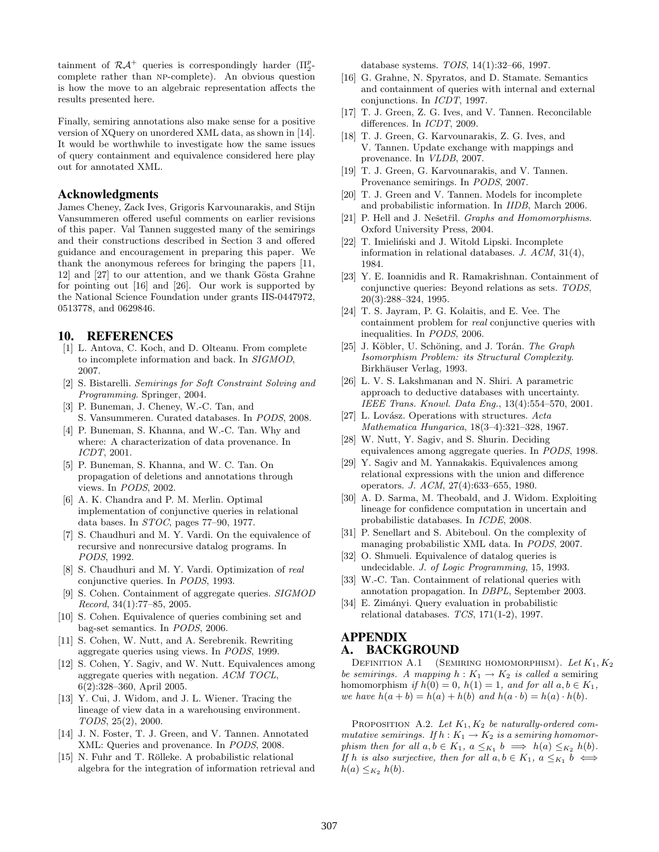tainment of  $\mathcal{R} \mathcal{A}^+$  queries is correspondingly harder  $(\Pi_2^p-)$ complete rather than NP-complete). An obvious question is how the move to an algebraic representation affects the results presented here.

Finally, semiring annotations also make sense for a positive version of XQuery on unordered XML data, as shown in [14]. It would be worthwhile to investigate how the same issues of query containment and equivalence considered here play out for annotated XML.

# Acknowledgments

James Cheney, Zack Ives, Grigoris Karvounarakis, and Stijn Vansummeren offered useful comments on earlier revisions of this paper. Val Tannen suggested many of the semirings and their constructions described in Section 3 and offered guidance and encouragement in preparing this paper. We thank the anonymous referees for bringing the papers [11, 12] and [27] to our attention, and we thank Gösta Grahne for pointing out [16] and [26]. Our work is supported by the National Science Foundation under grants IIS-0447972, 0513778, and 0629846.

#### 10. REFERENCES

- [1] L. Antova, C. Koch, and D. Olteanu. From complete to incomplete information and back. In SIGMOD, 2007.
- [2] S. Bistarelli. Semirings for Soft Constraint Solving and Programming. Springer, 2004.
- [3] P. Buneman, J. Cheney, W.-C. Tan, and S. Vansummeren. Curated databases. In PODS, 2008.
- [4] P. Buneman, S. Khanna, and W.-C. Tan. Why and where: A characterization of data provenance. In ICDT, 2001.
- [5] P. Buneman, S. Khanna, and W. C. Tan. On propagation of deletions and annotations through views. In PODS, 2002.
- [6] A. K. Chandra and P. M. Merlin. Optimal implementation of conjunctive queries in relational data bases. In STOC, pages 77–90, 1977.
- [7] S. Chaudhuri and M. Y. Vardi. On the equivalence of recursive and nonrecursive datalog programs. In PODS, 1992.
- [8] S. Chaudhuri and M. Y. Vardi. Optimization of real conjunctive queries. In PODS, 1993.
- S. Cohen. Containment of aggregate queries. SIGMOD Record, 34(1):77–85, 2005.
- [10] S. Cohen. Equivalence of queries combining set and bag-set semantics. In PODS, 2006.
- [11] S. Cohen, W. Nutt, and A. Serebrenik. Rewriting aggregate queries using views. In PODS, 1999.
- [12] S. Cohen, Y. Sagiv, and W. Nutt. Equivalences among aggregate queries with negation. ACM TOCL, 6(2):328–360, April 2005.
- [13] Y. Cui, J. Widom, and J. L. Wiener. Tracing the lineage of view data in a warehousing environment. TODS, 25(2), 2000.
- [14] J. N. Foster, T. J. Green, and V. Tannen. Annotated XML: Queries and provenance. In PODS, 2008.
- [15] N. Fuhr and T. Rölleke. A probabilistic relational algebra for the integration of information retrieval and

database systems. TOIS, 14(1):32–66, 1997.

- [16] G. Grahne, N. Spyratos, and D. Stamate. Semantics and containment of queries with internal and external conjunctions. In ICDT, 1997.
- [17] T. J. Green, Z. G. Ives, and V. Tannen. Reconcilable differences. In ICDT, 2009.
- [18] T. J. Green, G. Karvounarakis, Z. G. Ives, and V. Tannen. Update exchange with mappings and provenance. In VLDB, 2007.
- [19] T. J. Green, G. Karvounarakis, and V. Tannen. Provenance semirings. In PODS, 2007.
- [20] T. J. Green and V. Tannen. Models for incomplete and probabilistic information. In IIDB, March 2006.
- [21] P. Hell and J. Nešetřil. Graphs and Homomorphisms. Oxford University Press, 2004.
- [22] T. Imieliński and J. Witold Lipski. Incomplete information in relational databases. J. ACM, 31(4), 1984.
- [23] Y. E. Ioannidis and R. Ramakrishnan. Containment of conjunctive queries: Beyond relations as sets. TODS, 20(3):288–324, 1995.
- [24] T. S. Jayram, P. G. Kolaitis, and E. Vee. The containment problem for real conjunctive queries with inequalities. In PODS, 2006.
- [25] J. Köbler, U. Schöning, and J. Torán. The Graph Isomorphism Problem: its Structural Complexity. Birkhäuser Verlag, 1993.
- [26] L. V. S. Lakshmanan and N. Shiri. A parametric approach to deductive databases with uncertainty. IEEE Trans. Knowl. Data Eng., 13(4):554–570, 2001.
- [27] L. Lovász. Operations with structures.  $Acta$ Mathematica Hungarica, 18(3–4):321–328, 1967.
- [28] W. Nutt, Y. Sagiv, and S. Shurin. Deciding equivalences among aggregate queries. In PODS, 1998.
- [29] Y. Sagiv and M. Yannakakis. Equivalences among relational expressions with the union and difference operators. J. ACM, 27(4):633–655, 1980.
- [30] A. D. Sarma, M. Theobald, and J. Widom. Exploiting lineage for confidence computation in uncertain and probabilistic databases. In ICDE, 2008.
- [31] P. Senellart and S. Abiteboul. On the complexity of managing probabilistic XML data. In PODS, 2007.
- [32] O. Shmueli. Equivalence of datalog queries is undecidable. J. of Logic Programming, 15, 1993.
- [33] W.-C. Tan. Containment of relational queries with annotation propagation. In DBPL, September 2003.
- [34] E. Zimányi. Query evaluation in probabilistic relational databases.  $TCS$ , 171(1-2), 1997.

#### APPENDIX A. BACKGROUND

DEFINITION A.1 (SEMIRING HOMOMORPHISM). Let  $K_1, K_2$ be semirings. A mapping  $h: K_1 \to K_2$  is called a semiring homomorphism if  $h(0) = 0$ ,  $h(1) = 1$ , and for all  $a, b \in K_1$ , we have  $h(a + b) = h(a) + h(b)$  and  $h(a \cdot b) = h(a) \cdot h(b)$ .

PROPOSITION A.2. Let  $K_1, K_2$  be naturally-ordered commutative semirings. If  $h: K_1 \to K_2$  is a semiring homomorphism then for all  $a, b \in K_1$ ,  $a \leq_{K_1} b \implies h(a) \leq_{K_2} h(b)$ . If h is also surjective, then for all  $a, b \in K_1$ ,  $a \leq_{K_1} b \iff$  $h(a) \leq_{K_2} h(b).$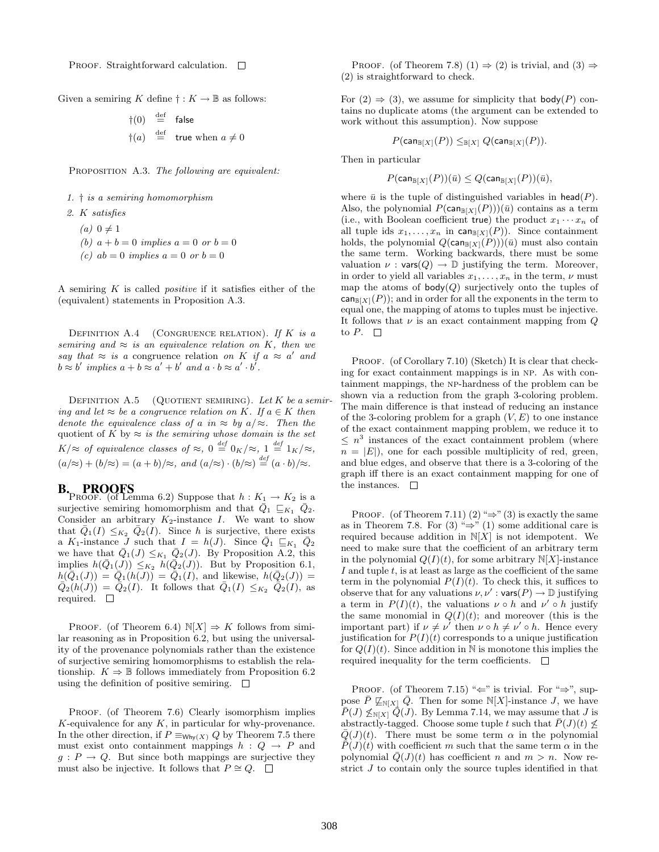PROOF. Straightforward calculation.  $\square$ 

Given a semiring K define  $\dagger : K \to \mathbb{B}$  as follows:

$$
\begin{array}{rcl}\n\dagger(0) & \stackrel{\text{def}}{=} & \text{false} \\
\dagger(a) & \stackrel{\text{def}}{=} & \text{true when } a \neq 0\n\end{array}
$$

PROPOSITION A.3. The following are equivalent:

- 1. † is a semiring homomorphism
- 2. K satisfies
	- $(a)$  0  $\neq$  1
	- (b)  $a + b = 0$  implies  $a = 0$  or  $b = 0$
	- (c)  $ab = 0$  implies  $a = 0$  or  $b = 0$

A semiring  $K$  is called *positive* if it satisfies either of the (equivalent) statements in Proposition A.3.

DEFINITION A.4 (CONGRUENCE RELATION). If  $K$  is a semiring and  $\approx$  is an equivalence relation on K, then we say that  $\approx$  is a congruence relation on K if  $a \approx a'$  and  $b \approx b'$  implies  $a + b \approx a' + b'$  and  $a \cdot b \approx a' \cdot b'$ .

DEFINITION A.5 (QUOTIENT SEMIRING). Let K be a semiring and let  $\approx$  be a congruence relation on K. If  $a \in K$  then denote the equivalence class of a in  $\approx$  by  $a/\approx$ . Then the quotient of K by  $\approx$  is the semiring whose domain is the set  $K/\approx$  of equivalence classes of  $\approx$ , 0  $\stackrel{def}{=} 0_K/\approx$ , 1  $\stackrel{def}{=} 1_K/\approx$ ,  $(a/\approx) + (b/\approx) = (a+b)/\approx$ , and  $(a/\approx) \cdot (b/\approx) \stackrel{def}{=} (a \cdot b)/\approx$ .

**B.** PROOFS<br>PROOF. (of Lemma 6.2) Suppose that  $h: K_1 \to K_2$  is a surjective semiring homomorphism and that  $\overline{Q}_1 \sqsubseteq_{K_1} \overline{Q}_2$ . Consider an arbitrary  $K_2$ -instance I. We want to show that  $\overline{Q}_1(I) \leq_{K_2} \overline{Q}_2(I)$ . Since h is surjective, there exists a K<sub>1</sub>-instance J such that  $I = h(J)$ . Since  $\overline{Q}_1 \sqsubseteq_{K_1} \overline{Q}_2$ we have that  $Q_1(J) \leq_{K_1} Q_2(J)$ . By Proposition A.2, this implies  $h(Q_1(J)) \leq_{K_2} h(Q_2(J))$ . But by Proposition 6.1,  $h(Q_1(J)) = Q_1(h(J)) = Q_1(I)$ , and likewise,  $h(Q_2(J)) =$  $Q_2(h(J)) = Q_2(I)$ . It follows that  $Q_1(I) \leq_{K_2} Q_2(I)$ , as required.  $\square$ 

PROOF. (of Theorem 6.4)  $\mathbb{N}[X] \Rightarrow K$  follows from similar reasoning as in Proposition 6.2, but using the universality of the provenance polynomials rather than the existence of surjective semiring homomorphisms to establish the relationship.  $K \Rightarrow \mathbb{B}$  follows immediately from Proposition 6.2 using the definition of positive semiring.  $\Box$ 

PROOF. (of Theorem 7.6) Clearly isomorphism implies  $K$ -equivalence for any  $K$ , in particular for why-provenance. In the other direction, if  $P \equiv_{W \text{hv}(X)} Q$  by Theorem 7.5 there must exist onto containment mappings  $h : Q \rightarrow P$  and  $g: P \to Q$ . But since both mappings are surjective they must also be injective. It follows that  $P \cong Q$ . □

PROOF. (of Theorem 7.8) (1)  $\Rightarrow$  (2) is trivial, and (3)  $\Rightarrow$ (2) is straightforward to check.

For  $(2) \Rightarrow (3)$ , we assume for simplicity that body(P) contains no duplicate atoms (the argument can be extended to work without this assumption). Now suppose

$$
P(\textsf{can}_{\mathbb{B}[X]}(P)) \leq_{\mathbb{B}[X]} Q(\textsf{can}_{\mathbb{B}[X]}(P)).
$$

Then in particular

$$
P(\textsf{can}_{\mathbb{B}[X]}(P))(\bar{u}) \le Q(\textsf{can}_{\mathbb{B}[X]}(P))(\bar{u}),
$$

where  $\bar{u}$  is the tuple of distinguished variables in head(P). Also, the polynomial  $P(\text{can}_{\mathbb{B}[X]}(P))(\bar{u})$  contains as a term (i.e., with Boolean coefficient true) the product  $x_1 \cdots x_n$  of all tuple ids  $x_1, \ldots, x_n$  in  $\text{can}_{\mathbb{B}[X]}(P)$ ). Since containment holds, the polynomial  $Q(\text{can}_{\mathbb{B}[X]}(P))(\bar{u})$  must also contain the same term. Working backwards, there must be some valuation  $\nu : \text{vars}(Q) \to \mathbb{D}$  justifying the term. Moreover, in order to yield all variables  $x_1, \ldots, x_n$  in the term,  $\nu$  must map the atoms of  $body(Q)$  surjectively onto the tuples of  $\textsf{can}_{\mathbb{R}[X]}(P)$ ; and in order for all the exponents in the term to equal one, the mapping of atoms to tuples must be injective. It follows that  $\nu$  is an exact containment mapping from  $Q$ to  $P. \square$ 

PROOF. (of Corollary 7.10) (Sketch) It is clear that checking for exact containment mappings is in np. As with containment mappings, the np-hardness of the problem can be shown via a reduction from the graph 3-coloring problem. The main difference is that instead of reducing an instance of the 3-coloring problem for a graph  $(V, E)$  to one instance of the exact containment mapping problem, we reduce it to  $\leq n^3$  instances of the exact containment problem (where  $n = |E|$ , one for each possible multiplicity of red, green, and blue edges, and observe that there is a 3-coloring of the graph iff there is an exact containment mapping for one of the instances.  $\Box$ 

PROOF. (of Theorem 7.11) (2) " $\Rightarrow$ " (3) is exactly the same as in Theorem 7.8. For (3) " $\Rightarrow$ " (1) some additional care is required because addition in  $N[X]$  is not idempotent. We need to make sure that the coefficient of an arbitrary term in the polynomial  $Q(I)(t)$ , for some arbitrary  $N[X]$ -instance I and tuple  $t$ , is at least as large as the coefficient of the same term in the polynomial  $P(I)(t)$ . To check this, it suffices to observe that for any valuations  $\nu, \nu'$  : vars $(P) \to \mathbb{D}$  justifying a term in  $P(I)(t)$ , the valuations  $\nu \circ h$  and  $\nu' \circ h$  justify the same monomial in  $Q(I)(t)$ ; and moreover (this is the important part) if  $\nu \neq \nu'$  then  $\nu \circ h \neq \nu' \circ h$ . Hence every justification for  $P(I)(t)$  corresponds to a unique justification for  $Q(I)(t)$ . Since addition in N is monotone this implies the required inequality for the term coefficients.  $\Box$ 

PROOF. (of Theorem 7.15) " $\Leftarrow$ " is trivial. For " $\Rightarrow$ ", suppose P  $\mathbb{Z}_{N[X]}$  Q. Then for some N[X]-instance J, we have  $P(J) \nleq_{\mathbb{N}[X]} \overline{Q}(J)$ . By Lemma 7.14, we may assume that J is abstractly-tagged. Choose some tuple t such that  $P(J)(t) \not\leq$  $Q(J)(t)$ . There must be some term  $\alpha$  in the polynomial  $P(J)(t)$  with coefficient m such that the same term  $\alpha$  in the polynomial  $\overline{Q}(J)(t)$  has coefficient n and  $m > n$ . Now restrict  $J$  to contain only the source tuples identified in that